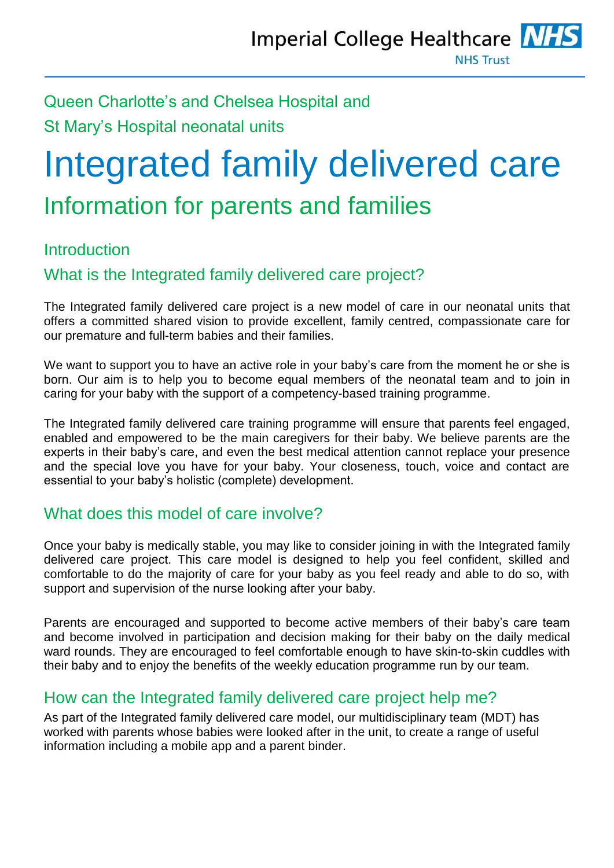## Queen Charlotte's and Chelsea Hospital and St Mary's Hospital neonatal units

# Integrated family delivered care Information for parents and families

## Introduction

## What is the Integrated family delivered care project?

The Integrated family delivered care project is a new model of care in our neonatal units that offers a committed shared vision to provide excellent, family centred, compassionate care for our premature and full-term babies and their families.

We want to support you to have an active role in your baby's care from the moment he or she is born. Our aim is to help you to become equal members of the neonatal team and to join in caring for your baby with the support of a competency-based training programme.

The Integrated family delivered care training programme will ensure that parents feel engaged, enabled and empowered to be the main caregivers for their baby. We believe parents are the experts in their baby's care, and even the best medical attention cannot replace your presence and the special love you have for your baby. Your closeness, touch, voice and contact are essential to your baby's holistic (complete) development.

## What does this model of care involve?

Once your baby is medically stable, you may like to consider joining in with the Integrated family delivered care project. This care model is designed to help you feel confident, skilled and comfortable to do the majority of care for your baby as you feel ready and able to do so, with support and supervision of the nurse looking after your baby.

Parents are encouraged and supported to become active members of their baby's care team and become involved in participation and decision making for their baby on the daily medical ward rounds. They are encouraged to feel comfortable enough to have skin-to-skin cuddles with their baby and to enjoy the benefits of the weekly education programme run by our team.

## How can the Integrated family delivered care project help me?

As part of the Integrated family delivered care model, our multidisciplinary team (MDT) has worked with parents whose babies were looked after in the unit, to create a range of useful information including a mobile app and a parent binder.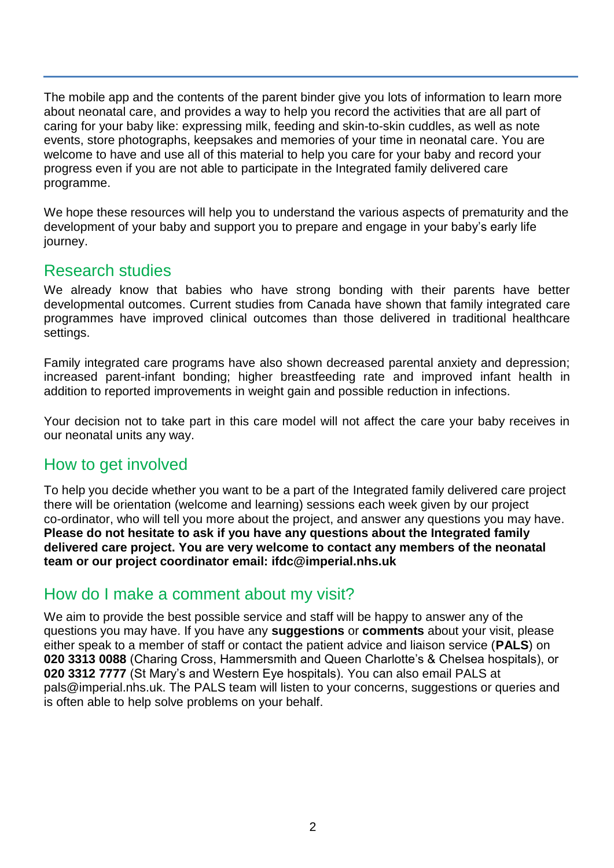The mobile app and the contents of the parent binder give you lots of information to learn more about neonatal care, and provides a way to help you record the activities that are all part of caring for your baby like: expressing milk, feeding and skin-to-skin cuddles, as well as note events, store photographs, keepsakes and memories of your time in neonatal care. You are welcome to have and use all of this material to help you care for your baby and record your progress even if you are not able to participate in the Integrated family delivered care programme.

We hope these resources will help you to understand the various aspects of prematurity and the development of your baby and support you to prepare and engage in your baby's early life journey.

#### Research studies

We already know that babies who have strong bonding with their parents have better developmental outcomes. Current studies from Canada have shown that family integrated care programmes have improved clinical outcomes than those delivered in traditional healthcare settings.

Family integrated care programs have also shown decreased parental anxiety and depression; increased parent-infant bonding; higher breastfeeding rate and improved infant health in addition to reported improvements in weight gain and possible reduction in infections.

Your decision not to take part in this care model will not affect the care your baby receives in our neonatal units any way.

## How to get involved

To help you decide whether you want to be a part of the Integrated family delivered care project there will be orientation (welcome and learning) sessions each week given by our project co-ordinator, who will tell you more about the project, and answer any questions you may have. **Please do not hesitate to ask if you have any questions about the Integrated family delivered care project. You are very welcome to contact any members of the neonatal team or our project coordinator email: ifdc@imperial.nhs.uk**

## How do I make a comment about my visit?

We aim to provide the best possible service and staff will be happy to answer any of the questions you may have. If you have any **suggestions** or **comments** about your visit, please either speak to a member of staff or contact the patient advice and liaison service (**PALS**) on **020 3313 0088** (Charing Cross, Hammersmith and Queen Charlotte's & Chelsea hospitals), or **020 3312 7777** (St Mary's and Western Eye hospitals). You can also email PALS at pals@imperial.nhs.uk. The PALS team will listen to your concerns, suggestions or queries and is often able to help solve problems on your behalf.